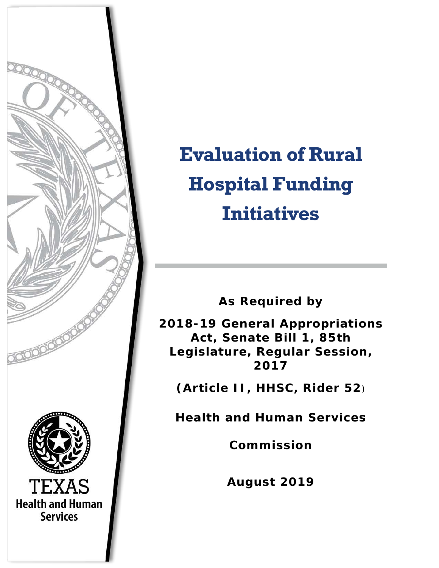

# **Evaluation of Rural Hospital Funding Initiatives**

**As Required by** 

**2018-19 General Appropriations Act, Senate Bill 1, 85th Legislature, Regular Session, 2017** 

**(Article II, HHSC, Rider 52**)

**Health and Human Services** 

**Commission**

**August 2019**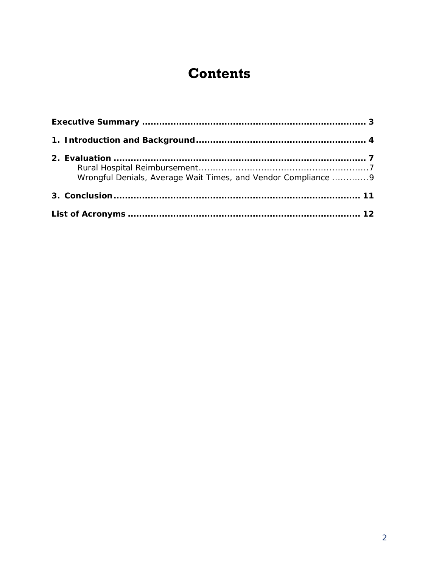# **Contents**

| Wrongful Denials, Average Wait Times, and Vendor Compliance  9 |  |
|----------------------------------------------------------------|--|
|                                                                |  |
|                                                                |  |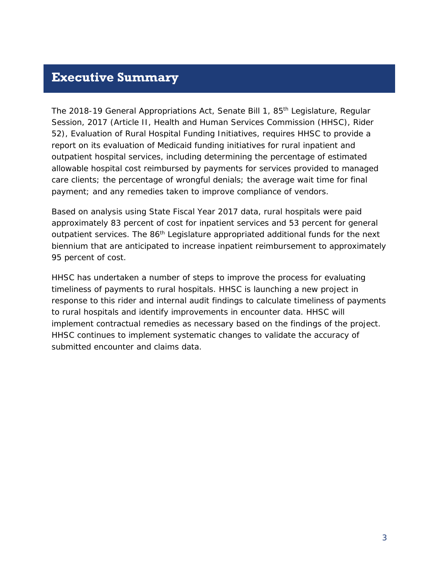### <span id="page-2-0"></span>**Executive Summary**

The 2018-19 General Appropriations Act, Senate Bill 1, 85<sup>th</sup> Legislature, Regular Session, 2017 (Article II, Health and Human Services Commission (HHSC), Rider 52), Evaluation of Rural Hospital Funding Initiatives, requires HHSC to provide a report on its evaluation of Medicaid funding initiatives for rural inpatient and outpatient hospital services, including determining the percentage of estimated allowable hospital cost reimbursed by payments for services provided to managed care clients; the percentage of wrongful denials; the average wait time for final payment; and any remedies taken to improve compliance of vendors.

Based on analysis using State Fiscal Year 2017 data, rural hospitals were paid approximately 83 percent of cost for inpatient services and 53 percent for general outpatient services. The 86<sup>th</sup> Legislature appropriated additional funds for the next biennium that are anticipated to increase inpatient reimbursement to approximately 95 percent of cost.

HHSC has undertaken a number of steps to improve the process for evaluating timeliness of payments to rural hospitals. HHSC is launching a new project in response to this rider and internal audit findings to calculate timeliness of payments to rural hospitals and identify improvements in encounter data. HHSC will implement contractual remedies as necessary based on the findings of the project. HHSC continues to implement systematic changes to validate the accuracy of submitted encounter and claims data.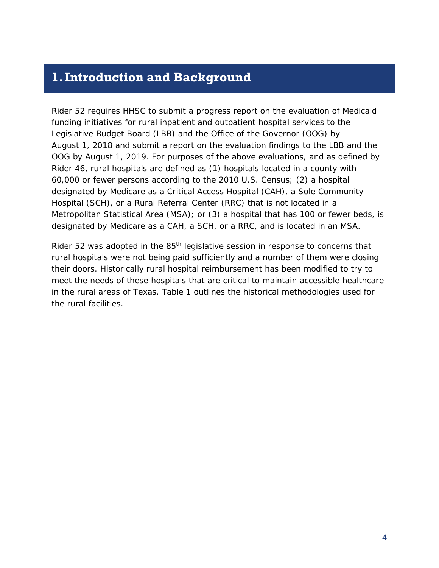## <span id="page-3-0"></span>**1.Introduction and Background**

Rider 52 requires HHSC to submit a progress report on the evaluation of Medicaid funding initiatives for rural inpatient and outpatient hospital services to the Legislative Budget Board (LBB) and the Office of the Governor (OOG) by August 1, 2018 and submit a report on the evaluation findings to the LBB and the OOG by August 1, 2019. For purposes of the above evaluations, and as defined by Rider 46, rural hospitals are defined as (1) hospitals located in a county with 60,000 or fewer persons according to the 2010 U.S. Census; (2) a hospital designated by Medicare as a Critical Access Hospital (CAH), a Sole Community Hospital (SCH), or a Rural Referral Center (RRC) that is not located in a Metropolitan Statistical Area (MSA); or (3) a hospital that has 100 or fewer beds, is designated by Medicare as a CAH, a SCH, or a RRC, and is located in an MSA.

Rider 52 was adopted in the 85<sup>th</sup> legislative session in response to concerns that rural hospitals were not being paid sufficiently and a number of them were closing their doors. Historically rural hospital reimbursement has been modified to try to meet the needs of these hospitals that are critical to maintain accessible healthcare in the rural areas of Texas. Table 1 outlines the historical methodologies used for the rural facilities.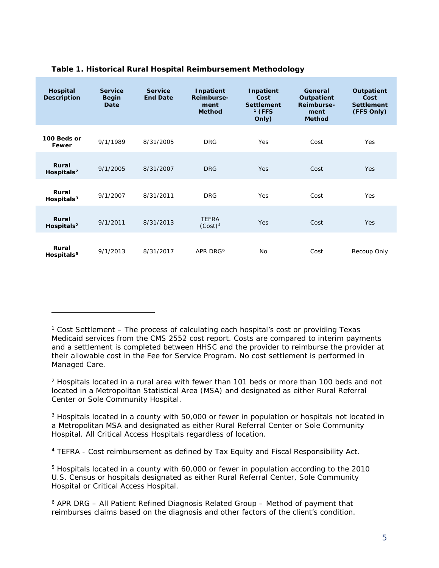| Hospital<br><b>Description</b>  | <b>Service</b><br><b>Begin</b><br>Date | <b>Service</b><br><b>End Date</b> | Inpatient<br>Reimburse-<br>ment<br><b>Method</b> | Inpatient<br>Cost<br><b>Settlement</b><br>$1$ (FFS<br>Only) | General<br>Outpatient<br>Reimburse-<br>ment<br><b>Method</b> | Outpatient<br>Cost<br><b>Settlement</b><br>(FFS Only) |
|---------------------------------|----------------------------------------|-----------------------------------|--------------------------------------------------|-------------------------------------------------------------|--------------------------------------------------------------|-------------------------------------------------------|
| 100 Beds or<br>Fewer            | 9/1/1989                               | 8/31/2005                         | <b>DRG</b>                                       | Yes                                                         | Cost                                                         | Yes                                                   |
| Rural<br>Hospitals <sup>2</sup> | 9/1/2005                               | 8/31/2007                         | <b>DRG</b>                                       | <b>Yes</b>                                                  | Cost                                                         | <b>Yes</b>                                            |
| Rural<br>Hospitals <sup>3</sup> | 9/1/2007                               | 8/31/2011                         | <b>DRG</b>                                       | Yes                                                         | Cost                                                         | <b>Yes</b>                                            |
| Rural<br>Hospitals $2$          | 9/1/2011                               | 8/31/2013                         | <b>TEFRA</b><br>(Cost) <sup>4</sup>              | Yes                                                         | Cost                                                         | <b>Yes</b>                                            |
| Rural<br>Hospitals <sup>5</sup> | 9/1/2013                               | 8/31/2017                         | APR DRG <sup>6</sup>                             | No                                                          | Cost                                                         | Recoup Only                                           |

#### **Table 1. Historical Rural Hospital Reimbursement Methodology**

1

<span id="page-4-1"></span> $2$  Hospitals located in a rural area with fewer than 101 beds or more than 100 beds and not located in a Metropolitan Statistical Area (MSA) and designated as either Rural Referral Center or Sole Community Hospital.

<span id="page-4-2"></span><sup>3</sup> Hospitals located in a county with 50,000 or fewer in population or hospitals not located in a Metropolitan MSA and designated as either Rural Referral Center or Sole Community Hospital. All Critical Access Hospitals regardless of location.

<span id="page-4-3"></span><sup>4</sup> TEFRA - Cost reimbursement as defined by Tax Equity and Fiscal Responsibility Act.

<span id="page-4-4"></span><sup>5</sup> Hospitals located in a county with 60,000 or fewer in population according to the 2010 U.S. Census or hospitals designated as either Rural Referral Center, Sole Community Hospital or Critical Access Hospital.

<span id="page-4-0"></span> $1$  Cost Settlement – The process of calculating each hospital's cost or providing Texas Medicaid services from the CMS 2552 cost report. Costs are compared to interim payments and a settlement is completed between HHSC and the provider to reimburse the provider at their allowable cost in the Fee for Service Program. No cost settlement is performed in Managed Care.

<span id="page-4-5"></span> $6$  APR DRG – All Patient Refined Diagnosis Related Group – Method of payment that reimburses claims based on the diagnosis and other factors of the client's condition.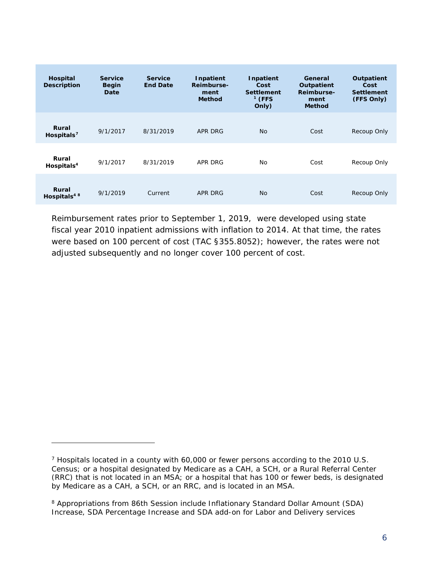| Hospital<br><b>Description</b>   | <b>Service</b><br><b>Begin</b><br>Date | <b>Service</b><br><b>End Date</b> | Inpatient<br>Reimburse-<br>ment<br><b>Method</b> | Inpatient<br>Cost<br><b>Settlement</b><br>$1$ (FFS<br>Only) | General<br>Outpatient<br>Reimburse-<br>ment<br><b>Method</b> | <b>Outpatient</b><br>Cost<br><b>Settlement</b><br>(FFS Only) |
|----------------------------------|----------------------------------------|-----------------------------------|--------------------------------------------------|-------------------------------------------------------------|--------------------------------------------------------------|--------------------------------------------------------------|
| Rural<br>Hospitals $7$           | 9/1/2017                               | 8/31/2019                         | APR DRG                                          | <b>No</b>                                                   | Cost                                                         | Recoup Only                                                  |
| Rural<br>Hospitals $4$           | 9/1/2017                               | 8/31/2019                         | APR DRG                                          | <b>No</b>                                                   | Cost                                                         | Recoup Only                                                  |
| Rural<br>Hospitals <sup>48</sup> | 9/1/2019                               | Current                           | APR DRG                                          | <b>No</b>                                                   | Cost                                                         | Recoup Only                                                  |

Reimbursement rates prior to September 1, 2019, were developed using state fiscal year 2010 inpatient admissions with inflation to 2014. At that time, the rates were based on 100 percent of cost (TAC §355.8052); however, the rates were not adjusted subsequently and no longer cover 100 percent of cost.

1

<span id="page-5-0"></span><sup>7</sup> Hospitals located in a county with 60,000 or fewer persons according to the 2010 U.S. Census; or a hospital designated by Medicare as a CAH, a SCH, or a Rural Referral Center (RRC) that is not located in an MSA; or a hospital that has 100 or fewer beds, is designated by Medicare as a CAH, a SCH, or an RRC, and is located in an MSA.

<span id="page-5-1"></span><sup>8</sup> Appropriations from 86th Session include Inflationary Standard Dollar Amount (SDA) Increase, SDA Percentage Increase and SDA add-on for Labor and Delivery services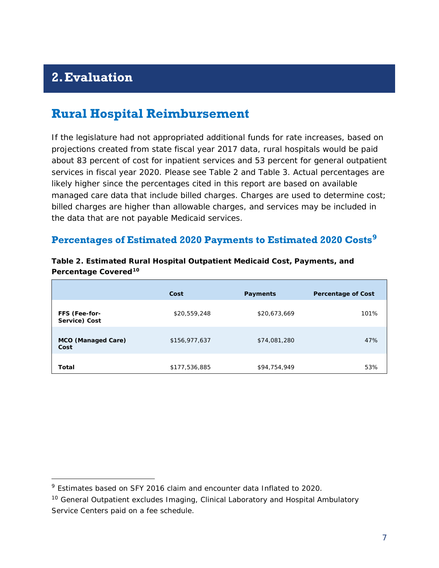## <span id="page-6-0"></span>**2.Evaluation**

l

## <span id="page-6-1"></span>**Rural Hospital Reimbursement**

If the legislature had not appropriated additional funds for rate increases, based on projections created from state fiscal year 2017 data, rural hospitals would be paid about 83 percent of cost for inpatient services and 53 percent for general outpatient services in fiscal year 2020. Please see Table 2 and Table 3. Actual percentages are likely higher since the percentages cited in this report are based on available managed care data that include billed charges. Charges are used to determine cost; billed charges are higher than allowable charges, and services may be included in the data that are not payable Medicaid services.

#### **Percentages of Estimated 2020 Payments to Estimated 2020 Costs[9](#page-6-2)**

|                                   | Cost          | <b>Payments</b> | <b>Percentage of Cost</b> |
|-----------------------------------|---------------|-----------------|---------------------------|
| FFS (Fee-for-<br>Service) Cost    | \$20,559,248  | \$20,673,669    | 101%                      |
| <b>MCO</b> (Managed Care)<br>Cost | \$156,977,637 | \$74,081,280    | 47%                       |
| Total                             | \$177,536,885 | \$94,754,949    | 53%                       |

#### **Table 2. Estimated Rural Hospital Outpatient Medicaid Cost, Payments, and Percentage Covered[10](#page-6-3)**

<span id="page-6-2"></span><sup>9</sup> Estimates based on SFY 2016 claim and encounter data Inflated to 2020.

<span id="page-6-3"></span><sup>&</sup>lt;sup>10</sup> General Outpatient excludes Imaging, Clinical Laboratory and Hospital Ambulatory Service Centers paid on a fee schedule.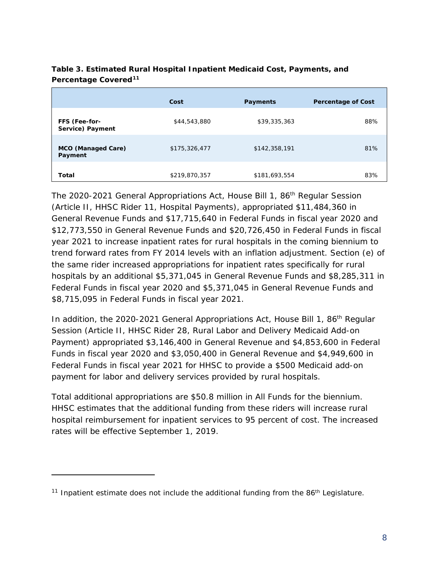|                                   | Cost          | Payments      | <b>Percentage of Cost</b> |
|-----------------------------------|---------------|---------------|---------------------------|
| FFS (Fee-for-<br>Service) Payment | \$44,543,880  | \$39,335,363  | 88%                       |
| MCO (Managed Care)<br>Payment     | \$175,326,477 | \$142,358,191 | 81%                       |
| Total                             | \$219,870,357 | \$181,693,554 | 83%                       |

#### **Table 3. Estimated Rural Hospital Inpatient Medicaid Cost, Payments, and Percentage Covered[11](#page-7-0)**

The 2020-2021 General Appropriations Act, House Bill 1, 86th Regular Session (Article II, HHSC Rider 11, Hospital Payments), appropriated \$11,484,360 in General Revenue Funds and \$17,715,640 in Federal Funds in fiscal year 2020 and \$12,773,550 in General Revenue Funds and \$20,726,450 in Federal Funds in fiscal year 2021 to increase inpatient rates for rural hospitals in the coming biennium to trend forward rates from FY 2014 levels with an inflation adjustment. Section (e) of the same rider increased appropriations for inpatient rates specifically for rural hospitals by an additional \$5,371,045 in General Revenue Funds and \$8,285,311 in Federal Funds in fiscal year 2020 and \$5,371,045 in General Revenue Funds and \$8,715,095 in Federal Funds in fiscal year 2021.

In addition, the 2020-2021 General Appropriations Act, House Bill 1, 86<sup>th</sup> Regular Session (Article II, HHSC Rider 28, Rural Labor and Delivery Medicaid Add-on Payment) appropriated \$3,146,400 in General Revenue and \$4,853,600 in Federal Funds in fiscal year 2020 and \$3,050,400 in General Revenue and \$4,949,600 in Federal Funds in fiscal year 2021 for HHSC to provide a \$500 Medicaid add-on payment for labor and delivery services provided by rural hospitals.

Total additional appropriations are \$50.8 million in All Funds for the biennium. HHSC estimates that the additional funding from these riders will increase rural hospital reimbursement for inpatient services to 95 percent of cost. The increased rates will be effective September 1, 2019.

l

<span id="page-7-0"></span><sup>&</sup>lt;sup>11</sup> Inpatient estimate does not include the additional funding from the 86<sup>th</sup> Legislature.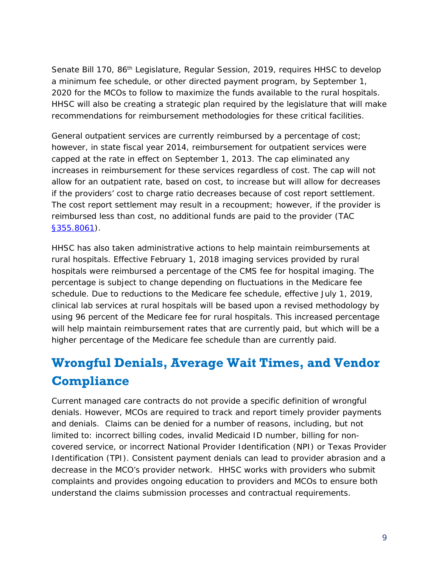Senate Bill 170, 86<sup>th</sup> Legislature, Regular Session, 2019, requires HHSC to develop a minimum fee schedule, or other directed payment program, by September 1, 2020 for the MCOs to follow to maximize the funds available to the rural hospitals. HHSC will also be creating a strategic plan required by the legislature that will make recommendations for reimbursement methodologies for these critical facilities.

General outpatient services are currently reimbursed by a percentage of cost; however, in state fiscal year 2014, reimbursement for outpatient services were capped at the rate in effect on September 1, 2013. The cap eliminated any increases in reimbursement for these services regardless of cost. The cap will not allow for an outpatient rate, based on cost, to increase but will allow for decreases if the providers' cost to charge ratio decreases because of cost report settlement. The cost report settlement may result in a recoupment; however, if the provider is reimbursed less than cost, no additional funds are paid to the provider (TAC [§355.8061\)](https://texreg.sos.state.tx.us/public/readtac$ext.TacPage?sl=R&app=9&p_dir=&p_rloc=&p_tloc=&p_ploc=&pg=1&p_tac=&ti=1&pt=15&ch=355&rl=8061).

HHSC has also taken administrative actions to help maintain reimbursements at rural hospitals. Effective February 1, 2018 imaging services provided by rural hospitals were reimbursed a percentage of the CMS fee for hospital imaging. The percentage is subject to change depending on fluctuations in the Medicare fee schedule. Due to reductions to the Medicare fee schedule, effective July 1, 2019, clinical lab services at rural hospitals will be based upon a revised methodology by using 96 percent of the Medicare fee for rural hospitals. This increased percentage will help maintain reimbursement rates that are currently paid, but which will be a higher percentage of the Medicare fee schedule than are currently paid.

## <span id="page-8-0"></span>**Wrongful Denials, Average Wait Times, and Vendor Compliance**

Current managed care contracts do not provide a specific definition of wrongful denials. However, MCOs are required to track and report timely provider payments and denials. Claims can be denied for a number of reasons, including, but not limited to: incorrect billing codes, invalid Medicaid ID number, billing for noncovered service, or incorrect National Provider Identification (NPI) or Texas Provider Identification (TPI). Consistent payment denials can lead to provider abrasion and a decrease in the MCO's provider network. HHSC works with providers who submit complaints and provides ongoing education to providers and MCOs to ensure both understand the claims submission processes and contractual requirements.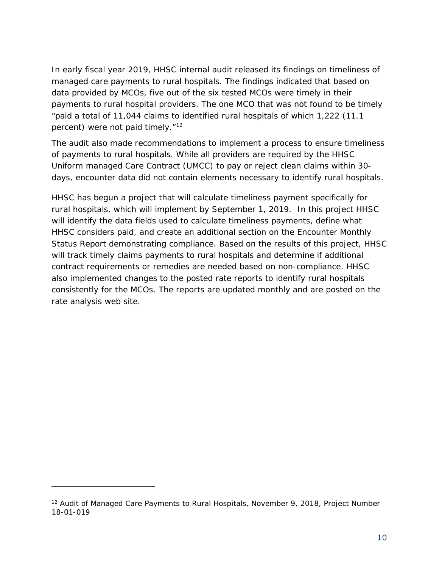In early fiscal year 2019, HHSC internal audit released its findings on timeliness of managed care payments to rural hospitals. The findings indicated that based on data provided by MCOs, five out of the six tested MCOs were timely in their payments to rural hospital providers. The one MCO that was not found to be timely "paid a total of 11,044 claims to identified rural hospitals of which 1,222 (11.1 percent) were not paid timely."<sup>[12](#page-9-0)</sup>

The audit also made recommendations to implement a process to ensure timeliness of payments to rural hospitals. While all providers are required by the HHSC Uniform managed Care Contract (UMCC) to pay or reject clean claims within 30 days, encounter data did not contain elements necessary to identify rural hospitals.

HHSC has begun a project that will calculate timeliness payment specifically for rural hospitals, which will implement by September 1, 2019. In this project HHSC will identify the data fields used to calculate timeliness payments, define what HHSC considers paid, and create an additional section on the Encounter Monthly Status Report demonstrating compliance. Based on the results of this project, HHSC will track timely claims payments to rural hospitals and determine if additional contract requirements or remedies are needed based on non-compliance. HHSC also implemented changes to the posted rate reports to identify rural hospitals consistently for the MCOs. The reports are updated monthly and are posted on the rate analysis web site.

1

<span id="page-9-0"></span><sup>&</sup>lt;sup>12</sup> Audit of Managed Care Payments to Rural Hospitals, November 9, 2018, Project Number 18-01-019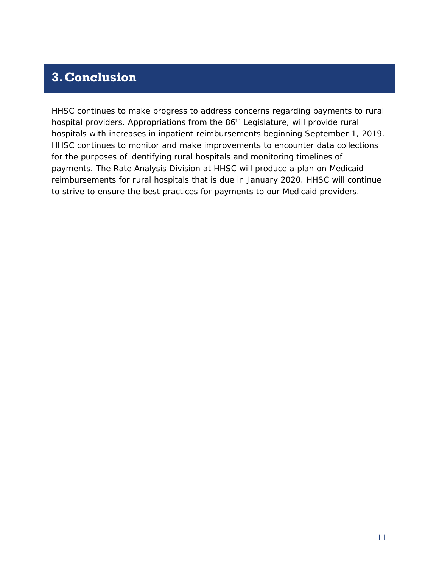## <span id="page-10-0"></span>**3.Conclusion**

HHSC continues to make progress to address concerns regarding payments to rural hospital providers. Appropriations from the 86<sup>th</sup> Legislature, will provide rural hospitals with increases in inpatient reimbursements beginning September 1, 2019. HHSC continues to monitor and make improvements to encounter data collections for the purposes of identifying rural hospitals and monitoring timelines of payments. The Rate Analysis Division at HHSC will produce a plan on Medicaid reimbursements for rural hospitals that is due in January 2020. HHSC will continue to strive to ensure the best practices for payments to our Medicaid providers.